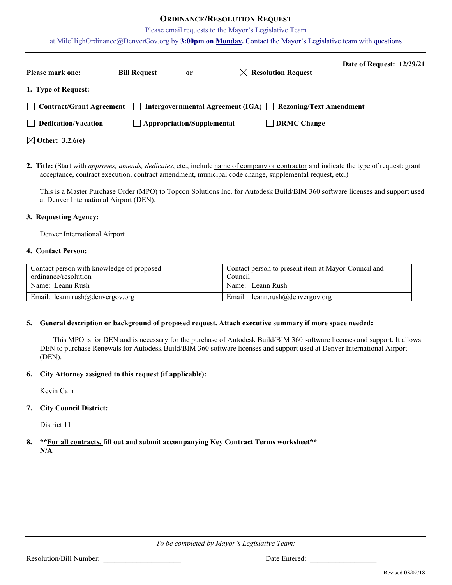## **ORDINANCE/RESOLUTION REQUEST**

Please email requests to the Mayor's Legislative Team

at [MileHighOrdinance@DenverGov.org](mailto:MileHighOrdinance@DenverGov.org) by **3:00pm on Monday.** Contact the Mayor's Legislative team with questions

| <b>Please mark one:</b>     | <b>Bill Request</b> | or                                | $\boxtimes$ Resolution Request                                   | Date of Request: 12/29/21 |  |
|-----------------------------|---------------------|-----------------------------------|------------------------------------------------------------------|---------------------------|--|
| 1. Type of Request:         |                     |                                   |                                                                  |                           |  |
| Contract/Grant Agreement    | $\mathbf{1}$        |                                   | Intergovernmental Agreement (IGA) $\Box$ Rezoning/Text Amendment |                           |  |
| $\Box$ Dedication/Vacation  |                     | $\Box$ Appropriation/Supplemental | $\Box$ DRMC Change                                               |                           |  |
| $\boxtimes$ Other: 3.2.6(e) |                     |                                   |                                                                  |                           |  |

**2. Title:** (Start with *approves, amends, dedicates*, etc., include name of company or contractor and indicate the type of request: grant acceptance, contract execution, contract amendment, municipal code change, supplemental request**,** etc.)

This is a Master Purchase Order (MPO) to Topcon Solutions Inc. for Autodesk Build/BIM 360 software licenses and support used at Denver International Airport (DEN).

#### **3. Requesting Agency:**

Denver International Airport

#### **4. Contact Person:**

| Contact person with knowledge of proposed | Contact person to present item at Mayor-Council and |
|-------------------------------------------|-----------------------------------------------------|
| ordinance/resolution                      | Council                                             |
| Name: Leann Rush                          | Name: Leann Rush                                    |
| Email: leann.rush@denvergov.org           | Email: leann.rush@denvergov.org                     |

#### **5. General description or background of proposed request. Attach executive summary if more space needed:**

This MPO is for DEN and is necessary for the purchase of Autodesk Build/BIM 360 software licenses and support. It allows DEN to purchase Renewals for Autodesk Build/BIM 360 software licenses and support used at Denver International Airport (DEN).

## **6. City Attorney assigned to this request (if applicable):**

Kevin Cain

## **7. City Council District:**

District 11

**8. \*\*For all contracts, fill out and submit accompanying Key Contract Terms worksheet\*\* N/A**